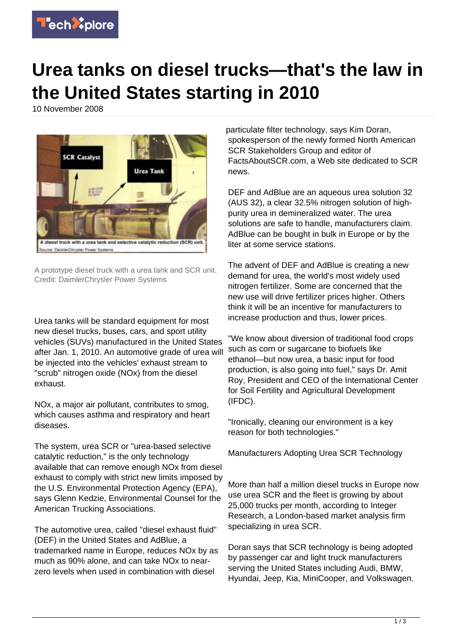

## **Urea tanks on diesel trucks—that's the law in the United States starting in 2010**

10 November 2008



A prototype diesel truck with a urea tank and SCR unit. Credit: DaimlerChrysler Power Systems

Urea tanks will be standard equipment for most new diesel trucks, buses, cars, and sport utility vehicles (SUVs) manufactured in the United States after Jan. 1, 2010. An automotive grade of urea will be injected into the vehicles' exhaust stream to "scrub" nitrogen oxide (NOx) from the diesel exhaust.

NOx, a major air pollutant, contributes to smog, which causes asthma and respiratory and heart diseases.

The system, urea SCR or "urea-based selective catalytic reduction," is the only technology available that can remove enough NOx from diesel exhaust to comply with strict new limits imposed by the U.S. Environmental Protection Agency (EPA), says Glenn Kedzie, Environmental Counsel for the American Trucking Associations.

The automotive urea, called "diesel exhaust fluid" (DEF) in the United States and AdBlue, a trademarked name in Europe, reduces NOx by as much as 90% alone, and can take NOx to nearzero levels when used in combination with diesel

particulate filter technology, says Kim Doran, spokesperson of the newly formed North American SCR Stakeholders Group and editor of FactsAboutSCR.com, a Web site dedicated to SCR news.

DEF and AdBlue are an aqueous urea solution 32 (AUS 32), a clear 32.5% nitrogen solution of highpurity urea in demineralized water. The urea solutions are safe to handle, manufacturers claim. AdBlue can be bought in bulk in Europe or by the liter at some service stations.

The advent of DEF and AdBlue is creating a new demand for urea, the world's most widely used nitrogen fertilizer. Some are concerned that the new use will drive fertilizer prices higher. Others think it will be an incentive for manufacturers to increase production and thus, lower prices.

"We know about diversion of traditional food crops such as corn or sugarcane to biofuels like ethanol—but now urea, a basic input for food production, is also going into fuel," says Dr. Amit Roy, President and CEO of the International Center for Soil Fertility and Agricultural Development (IFDC).

"Ironically, cleaning our environment is a key reason for both technologies."

Manufacturers Adopting Urea SCR Technology

More than half a million diesel trucks in Europe now use urea SCR and the fleet is growing by about 25,000 trucks per month, according to Integer Research, a London-based market analysis firm specializing in urea SCR.

Doran says that SCR technology is being adopted by passenger car and light truck manufacturers serving the United States including Audi, BMW, Hyundai, Jeep, Kia, MiniCooper, and Volkswagen.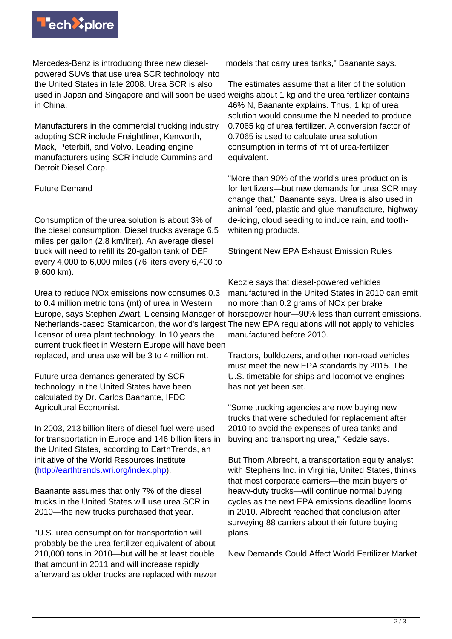

Mercedes-Benz is introducing three new dieselpowered SUVs that use urea SCR technology into the United States in late 2008. Urea SCR is also used in Japan and Singapore and will soon be used weighs about 1 kg and the urea fertilizer contains in China.

Manufacturers in the commercial trucking industry adopting SCR include Freightliner, Kenworth, Mack, Peterbilt, and Volvo. Leading engine manufacturers using SCR include Cummins and Detroit Diesel Corp.

## Future Demand

Consumption of the urea solution is about 3% of the diesel consumption. Diesel trucks average 6.5 miles per gallon (2.8 km/liter). An average diesel truck will need to refill its 20-gallon tank of DEF every 4,000 to 6,000 miles (76 liters every 6,400 to 9,600 km).

Urea to reduce NOx emissions now consumes 0.3 to 0.4 million metric tons (mt) of urea in Western Netherlands-based Stamicarbon, the world's largest The new EPA regulations will not apply to vehicles licensor of urea plant technology. In 10 years the current truck fleet in Western Europe will have been replaced, and urea use will be 3 to 4 million mt.

Future urea demands generated by SCR technology in the United States have been calculated by Dr. Carlos Baanante, IFDC Agricultural Economist.

In 2003, 213 billion liters of diesel fuel were used for transportation in Europe and 146 billion liters in the United States, according to EarthTrends, an initiative of the World Resources Institute [\(http://earthtrends.wri.org/index.php\)](http://earthtrends.wri.org/index.php).

Baanante assumes that only 7% of the diesel trucks in the United States will use urea SCR in 2010—the new trucks purchased that year.

"U.S. urea consumption for transportation will probably be the urea fertilizer equivalent of about 210,000 tons in 2010—but will be at least double that amount in 2011 and will increase rapidly afterward as older trucks are replaced with newer models that carry urea tanks," Baanante says.

The estimates assume that a liter of the solution 46% N, Baanante explains. Thus, 1 kg of urea solution would consume the N needed to produce 0.7065 kg of urea fertilizer. A conversion factor of 0.7065 is used to calculate urea solution consumption in terms of mt of urea-fertilizer equivalent.

"More than 90% of the world's urea production is for fertilizers—but new demands for urea SCR may change that," Baanante says. Urea is also used in animal feed, plastic and glue manufacture, highway de-icing, cloud seeding to induce rain, and toothwhitening products.

Stringent New EPA Exhaust Emission Rules

Europe, says Stephen Zwart, Licensing Manager of horsepower hour—90% less than current emissions. Kedzie says that diesel-powered vehicles manufactured in the United States in 2010 can emit no more than 0.2 grams of NOx per brake manufactured before 2010.

> Tractors, bulldozers, and other non-road vehicles must meet the new EPA standards by 2015. The U.S. timetable for ships and locomotive engines has not yet been set.

"Some trucking agencies are now buying new trucks that were scheduled for replacement after 2010 to avoid the expenses of urea tanks and buying and transporting urea," Kedzie says.

But Thom Albrecht, a transportation equity analyst with Stephens Inc. in Virginia, United States, thinks that most corporate carriers—the main buyers of heavy-duty trucks—will continue normal buying cycles as the next EPA emissions deadline looms in 2010. Albrecht reached that conclusion after surveying 88 carriers about their future buying plans.

New Demands Could Affect World Fertilizer Market